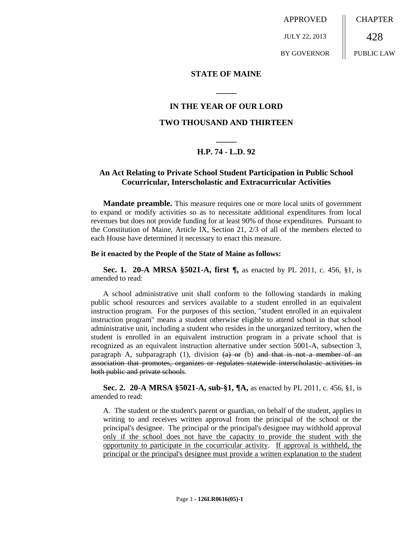APPROVED JULY 22, 2013 BY GOVERNOR **CHAPTER** 428 PUBLIC LAW

### **STATE OF MAINE**

## **IN THE YEAR OF OUR LORD**

**\_\_\_\_\_**

### **TWO THOUSAND AND THIRTEEN**

# **\_\_\_\_\_ H.P. 74 - L.D. 92**

# **An Act Relating to Private School Student Participation in Public School Cocurricular, Interscholastic and Extracurricular Activities**

**Mandate preamble.** This measure requires one or more local units of government to expand or modify activities so as to necessitate additional expenditures from local revenues but does not provide funding for at least 90% of those expenditures. Pursuant to the Constitution of Maine, Article IX, Section 21, 2/3 of all of the members elected to each House have determined it necessary to enact this measure.

#### **Be it enacted by the People of the State of Maine as follows:**

**Sec. 1. 20-A MRSA §5021-A, first ¶,** as enacted by PL 2011, c. 456, §1, is amended to read:

A school administrative unit shall conform to the following standards in making public school resources and services available to a student enrolled in an equivalent instruction program. For the purposes of this section, "student enrolled in an equivalent instruction program" means a student otherwise eligible to attend school in that school administrative unit, including a student who resides in the unorganized territory, when the student is enrolled in an equivalent instruction program in a private school that is recognized as an equivalent instruction alternative under section 5001-A, subsection 3, paragraph A, subparagraph (1), division  $(a)$  or (b) and that is not a member of an association that promotes, organizes or regulates statewide interscholastic activities in both public and private schools.

**Sec. 2. 20-A MRSA §5021-A, sub-§1, ¶A,** as enacted by PL 2011, c. 456, §1, is amended to read:

A. The student or the student's parent or guardian, on behalf of the student, applies in writing to and receives written approval from the principal of the school or the principal's designee. The principal or the principal's designee may withhold approval only if the school does not have the capacity to provide the student with the opportunity to participate in the cocurricular activity. If approval is withheld, the principal or the principal's designee must provide a written explanation to the student